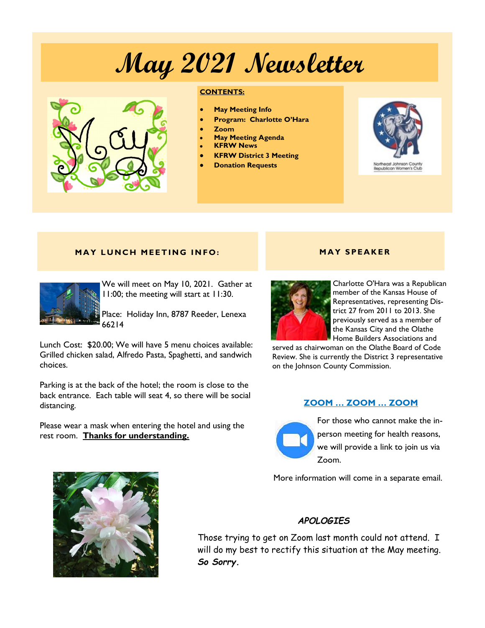# **May 2021 Newsletter**



#### **CONTENTS:**

- **May Meeting Info**
- **Program: Charlotte O'Hara**
- **Zoom**
- **May Meeting Agenda**
- **KFRW News**
- **KFRW District 3 Meeting**
- **Donation Requests**



Republican Women's Club

#### **MAY LUNCH MEETING INFO:**



We will meet on May 10, 2021. Gather at 11:00; the meeting will start at 11:30.

Place: Holiday Inn, 8787 Reeder, Lenexa 66214

Lunch Cost: \$20.00; We will have 5 menu choices available: Grilled chicken salad, Alfredo Pasta, Spaghetti, and sandwich choices.

Parking is at the back of the hotel; the room is close to the back entrance. Each table will seat 4, so there will be social distancing.

Please wear a mask when entering the hotel and using the rest room. **Thanks for understanding.** 

# **M A Y S PE A K E R**



Charlotte O'Hara was a Republican member of the Kansas House of Representatives, representing District 27 from 2011 to 2013. She previously served as a member of the Kansas City and the Olathe Home Builders Associations and

served as chairwoman on the Olathe Board of Code Review. She is currently the District 3 representative on the Johnson County Commission.

### **ZOOM … ZOOM … ZOOM**



For those who cannot make the inperson meeting for health reasons, we will provide a link to join us via Zoom.

More information will come in a separate email.



# *APOLOGIES*

Those trying to get on Zoom last month could not attend. I will do my best to rectify this situation at the May meeting. *So Sorry.*